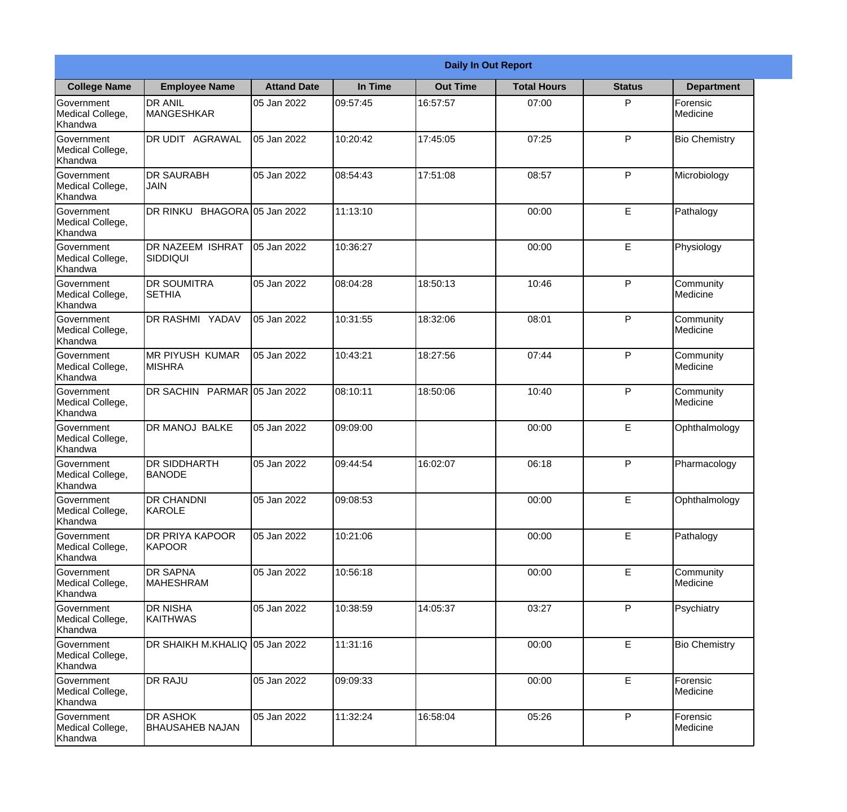|                                                  | <b>Daily In Out Report</b>                |                     |          |                 |                    |               |                              |  |  |
|--------------------------------------------------|-------------------------------------------|---------------------|----------|-----------------|--------------------|---------------|------------------------------|--|--|
| <b>College Name</b>                              | <b>Employee Name</b>                      | <b>Attand Date</b>  | In Time  | <b>Out Time</b> | <b>Total Hours</b> | <b>Status</b> | <b>Department</b>            |  |  |
| Government<br>Medical College,<br>Khandwa        | <b>DR ANIL</b><br><b>MANGESHKAR</b>       | 05 Jan 2022         | 09:57:45 | 16:57:57        | 07:00              | P             | Forensic<br>Medicine         |  |  |
| Government<br>Medical College,<br>Khandwa        | DR UDIT AGRAWAL                           | 05 Jan 2022         | 10:20:42 | 17:45:05        | 07:25              | P             | <b>Bio Chemistry</b>         |  |  |
| <b>Government</b><br>Medical College,<br>Khandwa | <b>DR SAURABH</b><br><b>JAIN</b>          | 05 Jan 2022         | 08:54:43 | 17:51:08        | 08:57              | P             | Microbiology                 |  |  |
| <b>Government</b><br>Medical College,<br>Khandwa | DR RINKU                                  | BHAGORA 05 Jan 2022 | 11:13:10 |                 | 00:00              | E             | Pathalogy                    |  |  |
| Government<br>Medical College,<br>Khandwa        | <b>DR NAZEEM ISHRAT</b><br> SIDDIQUI      | 05 Jan 2022         | 10:36:27 |                 | 00:00              | E             | Physiology                   |  |  |
| Government<br>Medical College,<br>Khandwa        | <b>DR SOUMITRA</b><br><b>SETHIA</b>       | 05 Jan 2022         | 08:04:28 | 18:50:13        | 10:46              | P             | Community<br><b>Medicine</b> |  |  |
| <b>Government</b><br>Medical College,<br>Khandwa | <b>DR RASHMI YADAV</b>                    | 05 Jan 2022         | 10:31:55 | 18:32:06        | 08:01              | P             | Community<br>Medicine        |  |  |
| <b>Government</b><br>Medical College,<br>Khandwa | <b>MR PIYUSH KUMAR</b><br><b>MISHRA</b>   | 05 Jan 2022         | 10:43:21 | 18:27:56        | 07:44              | P             | Community<br>Medicine        |  |  |
| Government<br>Medical College,<br>Khandwa        | DR SACHIN PARMAR 05 Jan 2022              |                     | 08:10:11 | 18:50:06        | 10:40              | P             | Community<br>Medicine        |  |  |
| Government<br>Medical College,<br>Khandwa        | DR MANOJ BALKE                            | 05 Jan 2022         | 09:09:00 |                 | 00:00              | $\mathsf E$   | Ophthalmology                |  |  |
| Government<br>Medical College,<br>Khandwa        | <b>DR SIDDHARTH</b><br><b>BANODE</b>      | 05 Jan 2022         | 09:44:54 | 16:02:07        | 06:18              | P             | Pharmacology                 |  |  |
| Government<br>Medical College,<br>Khandwa        | <b>DR CHANDNI</b><br>KAROLE               | 05 Jan 2022         | 09:08:53 |                 | 00:00              | E             | Ophthalmology                |  |  |
| Government<br>Medical College,<br>Khandwa        | <b>DR PRIYA KAPOOR</b><br><b>KAPOOR</b>   | 05 Jan 2022         | 10:21:06 |                 | 00:00              | E             | Pathalogy                    |  |  |
| Government<br>Medical College,<br>Khandwa        | <b>DR SAPNA</b><br><b>MAHESHRAM</b>       | 05 Jan 2022         | 10:56:18 |                 | 00:00              | $\mathsf E$   | Community<br>Medicine        |  |  |
| Government<br>Medical College,<br>Khandwa        | <b>I</b> DR NISHA<br><b>KAITHWAS</b>      | 05 Jan 2022         | 10:38:59 | 14:05:37        | 03:27              | P             | Psychiatry                   |  |  |
| Government<br>Medical College,<br>Khandwa        | DR SHAIKH M.KHALIQ 05 Jan 2022            |                     | 11:31:16 |                 | 00:00              | E             | <b>Bio Chemistry</b>         |  |  |
| Government<br>Medical College,<br>Khandwa        | <b>DR RAJU</b>                            | 05 Jan 2022         | 09:09:33 |                 | 00:00              | E             | Forensic<br>Medicine         |  |  |
| Government<br>Medical College,<br>Khandwa        | <b>DR ASHOK</b><br><b>BHAUSAHEB NAJAN</b> | 05 Jan 2022         | 11:32:24 | 16:58:04        | 05:26              | P             | Forensic<br>Medicine         |  |  |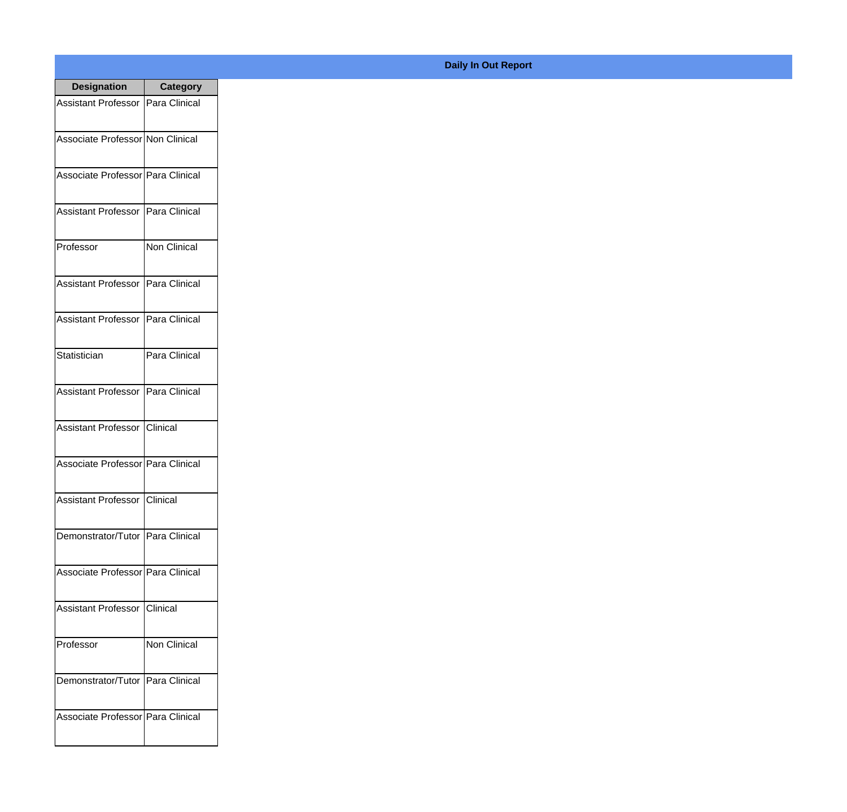| <b>Designation</b>                  | Category          |
|-------------------------------------|-------------------|
| Assistant Professor   Para Clinical |                   |
| Associate Professor Non Clinical    |                   |
| Associate Professor   Para Clinical |                   |
| Assistant Professor                 | Para Clinical     |
| Professor                           | Non Clinical      |
| Assistant Professor                 | Para Clinical     |
| Assistant Professor   Para Clinical |                   |
| Statistician                        | Para Clinical     |
| Assistant Professor   Para Clinical |                   |
| Assistant Professor                 | IClinical         |
| Associate Professor Para Clinical   |                   |
| Assistant Professor   Clinical      |                   |
| Demonstrator/Tutor   Para Clinical  |                   |
| Associate Professor Para Clinical   |                   |
| <b>Assistant Professor</b>          | <b>I</b> Clinical |
| Professor                           | Non Clinical      |
| Demonstrator/Tutor   Para Clinical  |                   |
| Associate Professor Para Clinical   |                   |

## **Daily In Out Report**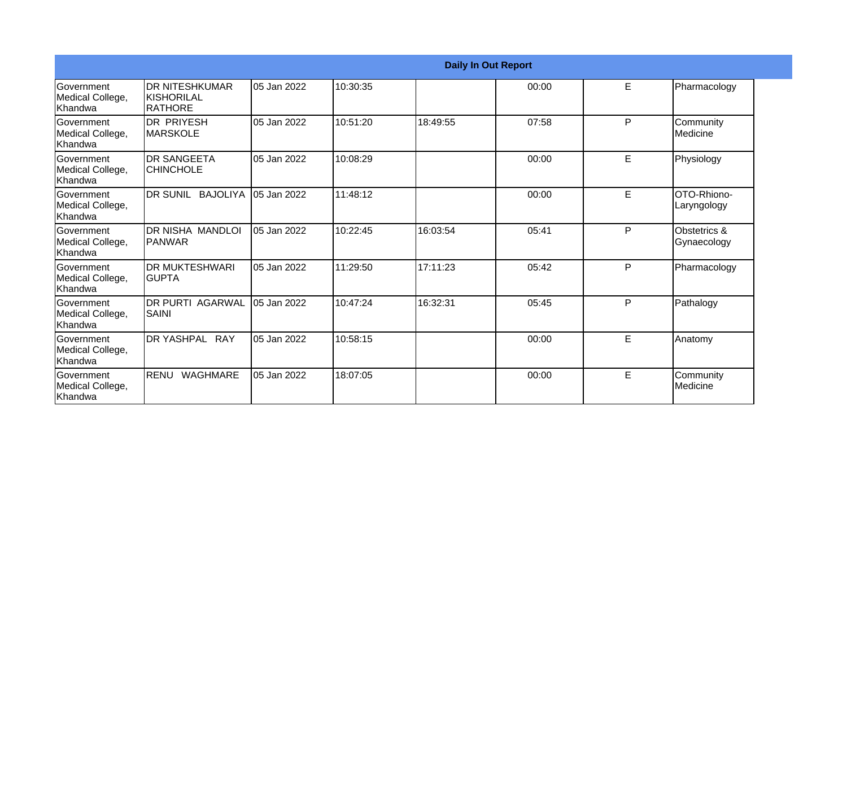|                                                         | <b>Daily In Out Report</b>                            |             |          |          |       |   |                                |  |
|---------------------------------------------------------|-------------------------------------------------------|-------------|----------|----------|-------|---|--------------------------------|--|
| <b>Government</b><br>Medical College,<br>Khandwa        | <b>DR NITESHKUMAR</b><br>KISHORILAL<br><b>RATHORE</b> | 05 Jan 2022 | 10:30:35 |          | 00:00 | E | Pharmacology                   |  |
| Government<br>Medical College,<br>Khandwa               | <b>DR PRIYESH</b><br>IMARSKOLE                        | 05 Jan 2022 | 10:51:20 | 18:49:55 | 07:58 | P | Community<br><b>I</b> Medicine |  |
| <b>Government</b><br>Medical College,<br>Khandwa        | <b>DR SANGEETA</b><br><b>CHINCHOLE</b>                | 05 Jan 2022 | 10:08:29 |          | 00:00 | E | Physiology                     |  |
| Government<br>Medical College,<br>Khandwa               | DR SUNIL BAJOLIYA                                     | 05 Jan 2022 | 11:48:12 |          | 00:00 | E | OTO-Rhiono-<br>Laryngology     |  |
| Government<br>Medical College,<br>Khandwa               | DR NISHA MANDLOI<br>IPANWAR                           | 05 Jan 2022 | 10:22:45 | 16:03:54 | 05:41 | P | Obstetrics &<br>Gynaecology    |  |
| <b>Sovernment</b><br>Medical College,<br><b>Khandwa</b> | <b>DR MUKTESHWARI</b><br>IGUPTA                       | 05 Jan 2022 | 11:29:50 | 17:11:23 | 05:42 | P | Pharmacology                   |  |
| Government<br>Medical College,<br>Khandwa               | <b>DR PURTI AGARWAL</b><br>SAINI                      | 05 Jan 2022 | 10:47:24 | 16:32:31 | 05:45 | P | Pathalogy                      |  |
| <b>IGovernment</b><br>Medical College,<br>Khandwa       | DR YASHPAL RAY                                        | 05 Jan 2022 | 10:58:15 |          | 00:00 | E | Anatomy                        |  |
| <b>Sovernment</b><br>Medical College,<br>Khandwa        | <b>RENU</b><br><b>WAGHMARE</b>                        | 05 Jan 2022 | 18:07:05 |          | 00:00 | E | Community<br>Medicine          |  |